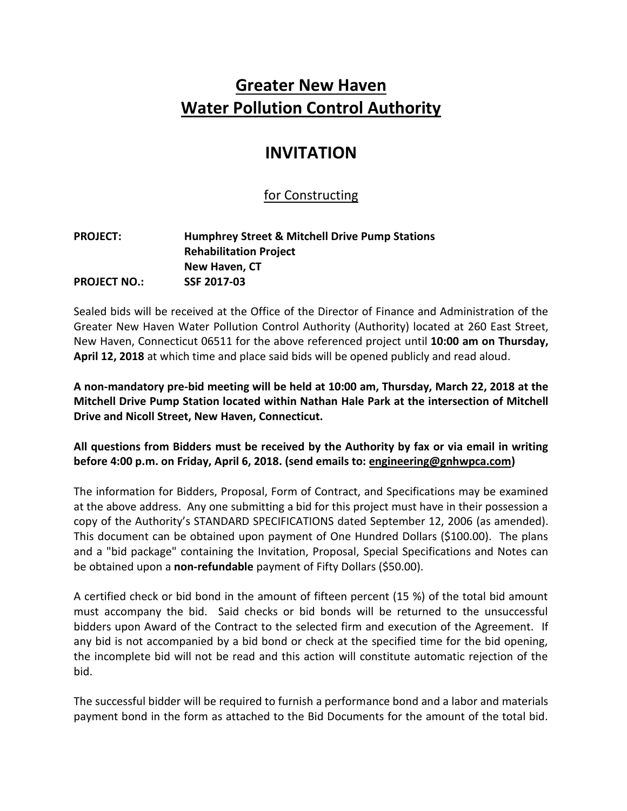# **Greater New Haven Water Pollution Control Authority**

## **INVITATION**

### for Constructing

#### **PROJECT: Humphrey Street & Mitchell Drive Pump Stations Rehabilitation Project New Haven, CT PROJECT NO.: SSF 2017-03**

Sealed bids will be received at the Office of the Director of Finance and Administration of the Greater New Haven Water Pollution Control Authority (Authority) located at 260 East Street, New Haven, Connecticut 06511 for the above referenced project until **10:00 am on Thursday, April 12, 2018** at which time and place said bids will be opened publicly and read aloud.

**A non-mandatory pre-bid meeting will be held at 10:00 am, Thursday, March 22, 2018 at the Mitchell Drive Pump Station located within Nathan Hale Park at the intersection of Mitchell Drive and Nicoll Street, New Haven, Connecticut.**

**All questions from Bidders must be received by the Authority by fax or via email in writing before 4:00 p.m. on Friday, April 6, 2018. (send emails to: engineering@gnhwpca.com)**

The information for Bidders, Proposal, Form of Contract, and Specifications may be examined at the above address. Any one submitting a bid for this project must have in their possession a copy of the Authority's STANDARD SPECIFICATIONS dated September 12, 2006 (as amended). This document can be obtained upon payment of One Hundred Dollars (\$100.00). The plans and a "bid package" containing the Invitation, Proposal, Special Specifications and Notes can be obtained upon a **non-refundable** payment of Fifty Dollars (\$50.00).

A certified check or bid bond in the amount of fifteen percent (15 %) of the total bid amount must accompany the bid. Said checks or bid bonds will be returned to the unsuccessful bidders upon Award of the Contract to the selected firm and execution of the Agreement. If any bid is not accompanied by a bid bond or check at the specified time for the bid opening, the incomplete bid will not be read and this action will constitute automatic rejection of the bid.

The successful bidder will be required to furnish a performance bond and a labor and materials payment bond in the form as attached to the Bid Documents for the amount of the total bid.